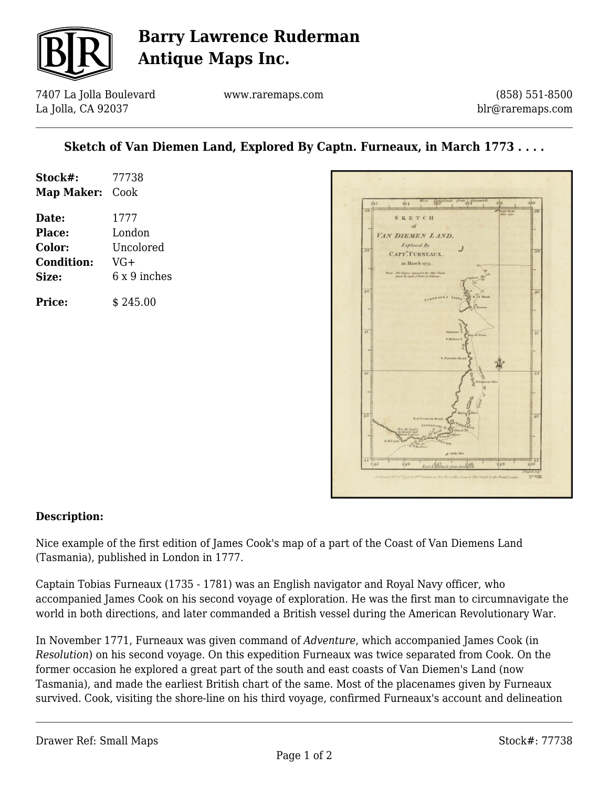

## **Barry Lawrence Ruderman Antique Maps Inc.**

7407 La Jolla Boulevard La Jolla, CA 92037

www.raremaps.com

(858) 551-8500 blr@raremaps.com

### **Sketch of Van Diemen Land, Explored By Captn. Furneaux, in March 1773 . . . .**

| Stock#:<br>Map Maker: | 77738<br>Cook |
|-----------------------|---------------|
| Date:                 | 1777          |
| Place:                | London        |
| Color:                | Uncolored     |
| <b>Condition:</b>     | VG+           |
| Size:                 | 6 x 9 inches  |
| Price:                | \$245.00      |



#### **Description:**

Nice example of the first edition of James Cook's map of a part of the Coast of Van Diemens Land (Tasmania), published in London in 1777.

Captain Tobias Furneaux (1735 - 1781) was an English navigator and Royal Navy officer, who accompanied James Cook on his second voyage of exploration. He was the first man to circumnavigate the world in both directions, and later commanded a British vessel during the American Revolutionary War.

In November 1771, Furneaux was given command of *Adventure*, which accompanied James Cook (in *Resolution*) on his second voyage. On this expedition Furneaux was twice separated from Cook. On the former occasion he explored a great part of the south and east coasts of Van Diemen's Land (now Tasmania), and made the earliest British chart of the same. Most of the placenames given by Furneaux survived. Cook, visiting the shore-line on his third voyage, confirmed Furneaux's account and delineation